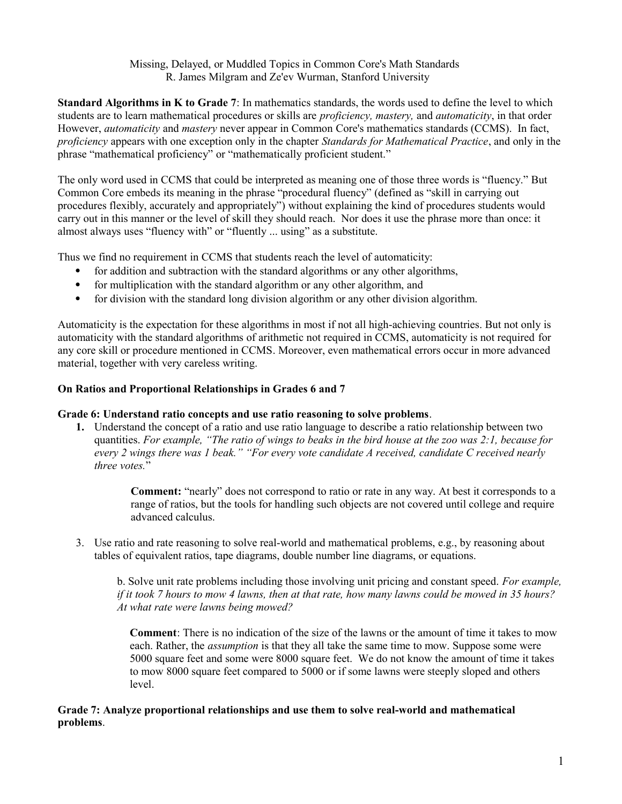# Missing, Delayed, or Muddled Topics in Common Core's Math Standards R. James Milgram and Ze'ev Wurman, Stanford University

**Standard Algorithms in K to Grade 7**: In mathematics standards, the words used to define the level to which students are to learn mathematical procedures or skills are *proficiency, mastery,* and *automaticity*, in that order However, *automaticity* and *mastery* never appear in Common Core's mathematics standards (CCMS). In fact, *proficiency* appears with one exception only in the chapter *Standards for Mathematical Practice*, and only in the phrase "mathematical proficiency" or "mathematically proficient student."

The only word used in CCMS that could be interpreted as meaning one of those three words is "fluency." But Common Core embeds its meaning in the phrase "procedural fluency" (defined as "skill in carrying out procedures flexibly, accurately and appropriately") without explaining the kind of procedures students would carry out in this manner or the level of skill they should reach. Nor does it use the phrase more than once: it almost always uses "fluency with" or "fluently ... using" as a substitute.

Thus we find no requirement in CCMS that students reach the level of automaticity:

- for addition and subtraction with the standard algorithms or any other algorithms,
- for multiplication with the standard algorithm or any other algorithm, and
- for division with the standard long division algorithm or any other division algorithm.

Automaticity is the expectation for these algorithms in most if not all high-achieving countries. But not only is automaticity with the standard algorithms of arithmetic not required in CCMS, automaticity is not required for any core skill or procedure mentioned in CCMS. Moreover, even mathematical errors occur in more advanced material, together with very careless writing.

### **On Ratios and Proportional Relationships in Grades 6 and 7**

### **Grade 6: Understand ratio concepts and use ratio reasoning to solve problems**.

**1.** Understand the concept of a ratio and use ratio language to describe a ratio relationship between two quantities. *For example, "The ratio of wings to beaks in the bird house at the zoo was 2:1, because for every 2 wings there was 1 beak." "For every vote candidate A received, candidate C received nearly three votes.*"

> **Comment:** "nearly" does not correspond to ratio or rate in any way. At best it corresponds to a range of ratios, but the tools for handling such objects are not covered until college and require advanced calculus.

3. Use ratio and rate reasoning to solve real-world and mathematical problems, e.g., by reasoning about tables of equivalent ratios, tape diagrams, double number line diagrams, or equations.

b. Solve unit rate problems including those involving unit pricing and constant speed. *For example, if it took 7 hours to mow 4 lawns, then at that rate, how many lawns could be mowed in 35 hours? At what rate were lawns being mowed?*

**Comment**: There is no indication of the size of the lawns or the amount of time it takes to mow each. Rather, the *assumption* is that they all take the same time to mow. Suppose some were 5000 square feet and some were 8000 square feet. We do not know the amount of time it takes to mow 8000 square feet compared to 5000 or if some lawns were steeply sloped and others level.

### **Grade 7: Analyze proportional relationships and use them to solve real-world and mathematical problems**.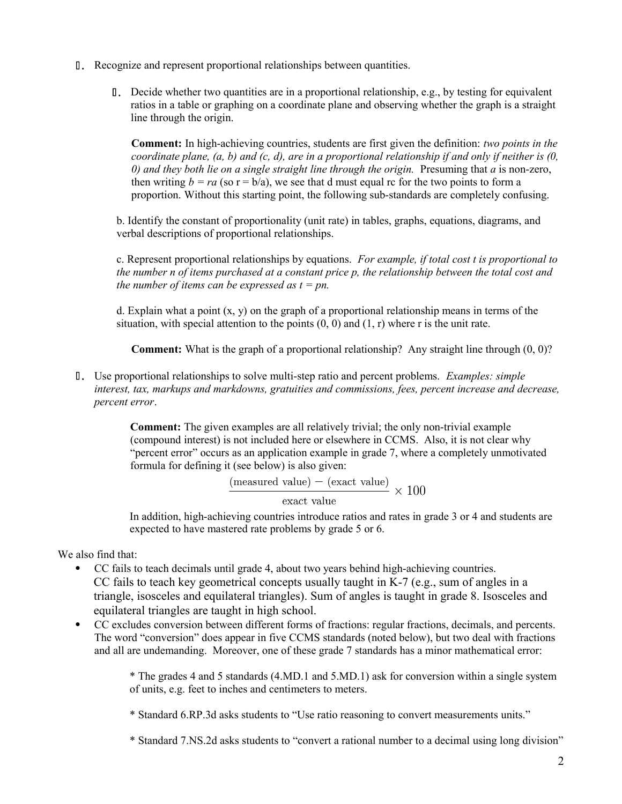- .2 Recognize and represent proportional relationships between quantities.
	- $\mathbb{I}$ . Decide whether two quantities are in a proportional relationship, e.g., by testing for equivalent ratios in a table or graphing on a coordinate plane and observing whether the graph is a straight line through the origin.

**Comment:** In high-achieving countries, students are first given the definition: *two points in the coordinate plane, (a, b) and (c, d), are in a proportional relationship if and only if neither is (0, 0) and they both lie on a single straight line through the origin.* Presuming that *a* is non-zero, then writing  $b = ra$  (so  $r = b/a$ ), we see that d must equal rc for the two points to form a proportion. Without this starting point, the following sub-standards are completely confusing.

b. Identify the constant of proportionality (unit rate) in tables, graphs, equations, diagrams, and verbal descriptions of proportional relationships.

c. Represent proportional relationships by equations. *For example, if total cost t is proportional to the number n of items purchased at a constant price p, the relationship between the total cost and the number of items can be expressed as*  $t = pn$ *.* 

d. Explain what a point  $(x, y)$  on the graph of a proportional relationship means in terms of the situation, with special attention to the points  $(0, 0)$  and  $(1, r)$  where r is the unit rate.

**Comment:** What is the graph of a proportional relationship? Any straight line through (0, 0)?

.2 Use proportional relationships to solve multi-step ratio and percent problems. *Examples: simple interest, tax, markups and markdowns, gratuities and commissions, fees, percent increase and decrease, percent error*.

> **Comment:** The given examples are all relatively trivial; the only non-trivial example (compound interest) is not included here or elsewhere in CCMS. Also, it is not clear why "percent error" occurs as an application example in grade 7, where a completely unmotivated formula for defining it (see below) is also given:

$$
\frac{\text{(measured value)} - \text{(exact value)}}{1} \times 100
$$

exact value

In addition, high-achieving countries introduce ratios and rates in grade 3 or 4 and students are expected to have mastered rate problems by grade 5 or 6.

We also find that:

- CC fails to teach decimals until grade 4, about two years behind high-achieving countries. CC fails to teach key geometrical concepts usually taught in K-7 (e.g., sum of angles in a triangle, isosceles and equilateral triangles). Sum of angles is taught in grade 8. Isosceles and equilateral triangles are taught in high school.
- CC excludes conversion between different forms of fractions: regular fractions, decimals, and percents. The word "conversion" does appear in five CCMS standards (noted below), but two deal with fractions and all are undemanding. Moreover, one of these grade 7 standards has a minor mathematical error:

\* The grades 4 and 5 standards (4.MD.1 and 5.MD.1) ask for conversion within a single system of units, e.g. feet to inches and centimeters to meters.

\* Standard 6.RP.3d asks students to "Use ratio reasoning to convert measurements units."

\* Standard 7.NS.2d asks students to "convert a rational number to a decimal using long division"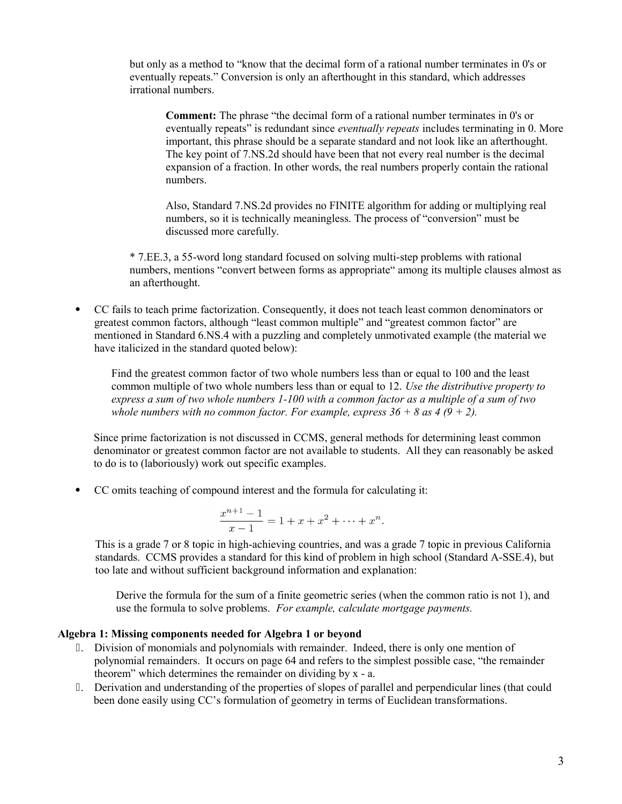but only as a method to "know that the decimal form of a rational number terminates in 0's or eventually repeats." Conversion is only an afterthought in this standard, which addresses irrational numbers.

**Comment:** The phrase "the decimal form of a rational number terminates in 0's or eventually repeats" is redundant since *eventually repeats* includes terminating in 0. More important, this phrase should be a separate standard and not look like an afterthought. The key point of 7.NS.2d should have been that not every real number is the decimal expansion of a fraction. In other words, the real numbers properly contain the rational numbers.

Also, Standard 7.NS.2d provides no FINITE algorithm for adding or multiplying real numbers, so it is technically meaningless. The process of "conversion" must be discussed more carefully.

\* 7.EE.3, a 55-word long standard focused on solving multi-step problems with rational numbers, mentions "convert between forms as appropriate" among its multiple clauses almost as an afterthought.

 CC fails to teach prime factorization. Consequently, it does not teach least common denominators or greatest common factors, although "least common multiple" and "greatest common factor" are mentioned in Standard 6.NS.4 with a puzzling and completely unmotivated example (the material we have italicized in the standard quoted below):

Find the greatest common factor of two whole numbers less than or equal to 100 and the least common multiple of two whole numbers less than or equal to 12. *Use the distributive property to express a sum of two whole numbers 1-100 with a common factor as a multiple of a sum of two whole numbers with no common factor. For example, express*  $36 + 8$  *as 4 (9 + 2).* 

Since prime factorization is not discussed in CCMS, general methods for determining least common denominator or greatest common factor are not available to students. All they can reasonably be asked to do is to (laboriously) work out specific examples.

CC omits teaching of compound interest and the formula for calculating it:

$$
\frac{x^{n+1}-1}{x-1} = 1 + x + x^2 + \dots + x^n.
$$

This is a grade 7 or 8 topic in high-achieving countries, and was a grade 7 topic in previous California standards. CCMS provides a standard for this kind of problem in high school (Standard A-SSE.4), but too late and without sufficient background information and explanation:

Derive the formula for the sum of a finite geometric series (when the common ratio is not 1), and use the formula to solve problems. *For example, calculate mortgage payments.*

### **Algebra 1: Missing components needed for Algebra 1 or beyond**

- .2 Division of monomials and polynomials with remainder. Indeed, there is only one mention of polynomial remainders. It occurs on page 64 and refers to the simplest possible case, "the remainder theorem" which determines the remainder on dividing by x - a.
- .2 Derivation and understanding of the properties of slopes of parallel and perpendicular lines (that could been done easily using CC's formulation of geometry in terms of Euclidean transformations.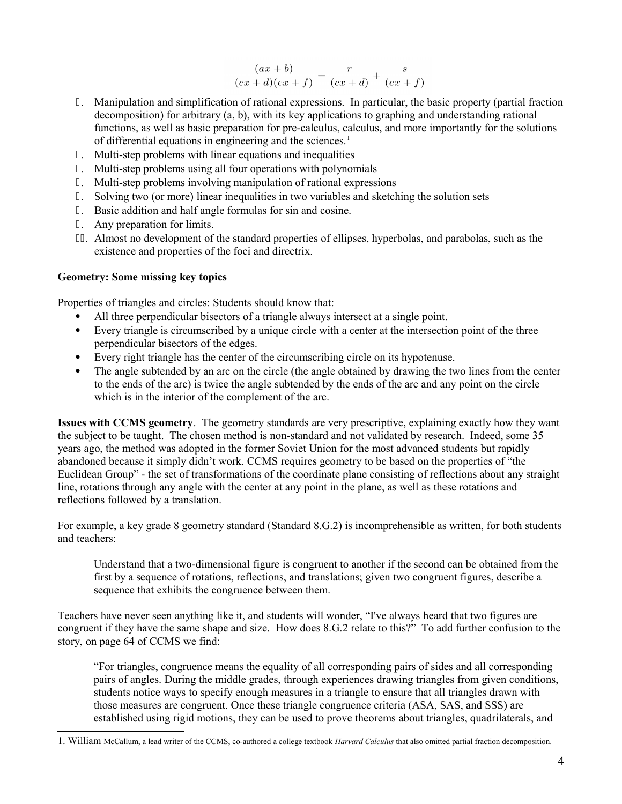$$
\frac{(ax+b)}{(cx+d)(ex+f)} = \frac{r}{(cx+d)} + \frac{s}{(ex+f)}
$$

- .2 Manipulation and simplification of rational expressions. In particular, the basic property (partial fraction decomposition) for arbitrary (a, b), with its key applications to graphing and understanding rational functions, as well as basic preparation for pre-calculus, calculus, and more importantly for the solutions of differential equations in engineering and the sciences.<sup>[1](#page-3-0)</sup>
- .2 Multi-step problems with linear equations and inequalities
- .2 Multi-step problems using all four operations with polynomials
- .2 Multi-step problems involving manipulation of rational expressions
- .2 Solving two (or more) linear inequalities in two variables and sketching the solution sets
- .2 Basic addition and half angle formulas for sin and cosine.
- .2 Any preparation for limits.
- .22 Almost no development of the standard properties of ellipses, hyperbolas, and parabolas, such as the existence and properties of the foci and directrix.

### **Geometry: Some missing key topics**

Properties of triangles and circles: Students should know that:

- All three perpendicular bisectors of a triangle always intersect at a single point.
- Every triangle is circumscribed by a unique circle with a center at the intersection point of the three perpendicular bisectors of the edges.
- Every right triangle has the center of the circumscribing circle on its hypotenuse.
- The angle subtended by an arc on the circle (the angle obtained by drawing the two lines from the center to the ends of the arc) is twice the angle subtended by the ends of the arc and any point on the circle which is in the interior of the complement of the arc.

**Issues with CCMS geometry**. The geometry standards are very prescriptive, explaining exactly how they want the subject to be taught. The chosen method is non-standard and not validated by research. Indeed, some 35 years ago, the method was adopted in the former Soviet Union for the most advanced students but rapidly abandoned because it simply didn't work. CCMS requires geometry to be based on the properties of "the Euclidean Group" - the set of transformations of the coordinate plane consisting of reflections about any straight line, rotations through any angle with the center at any point in the plane, as well as these rotations and reflections followed by a translation.

For example, a key grade 8 geometry standard (Standard 8.G.2) is incomprehensible as written, for both students and teachers:

Understand that a two-dimensional figure is congruent to another if the second can be obtained from the first by a sequence of rotations, reflections, and translations; given two congruent figures, describe a sequence that exhibits the congruence between them.

Teachers have never seen anything like it, and students will wonder, "I've always heard that two figures are congruent if they have the same shape and size. How does 8.G.2 relate to this?" To add further confusion to the story, on page 64 of CCMS we find:

"For triangles, congruence means the equality of all corresponding pairs of sides and all corresponding pairs of angles. During the middle grades, through experiences drawing triangles from given conditions, students notice ways to specify enough measures in a triangle to ensure that all triangles drawn with those measures are congruent. Once these triangle congruence criteria (ASA, SAS, and SSS) are established using rigid motions, they can be used to prove theorems about triangles, quadrilaterals, and

<span id="page-3-0"></span><sup>1.</sup> William McCallum, a lead writer of the CCMS, co-authored a college textbook *Harvard Calculus* that also omitted partial fraction decomposition.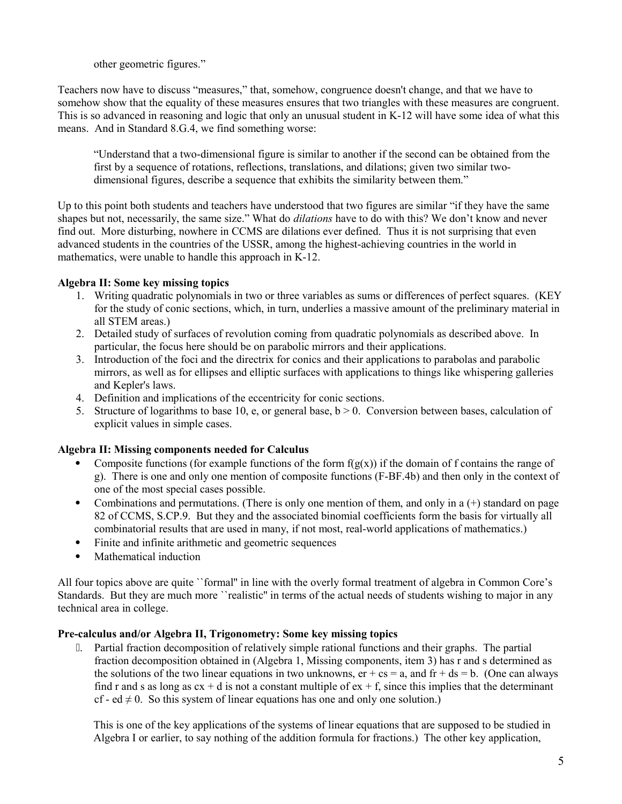other geometric figures."

Teachers now have to discuss "measures," that, somehow, congruence doesn't change, and that we have to somehow show that the equality of these measures ensures that two triangles with these measures are congruent. This is so advanced in reasoning and logic that only an unusual student in K-12 will have some idea of what this means. And in Standard 8.G.4, we find something worse:

"Understand that a two-dimensional figure is similar to another if the second can be obtained from the first by a sequence of rotations, reflections, translations, and dilations; given two similar twodimensional figures, describe a sequence that exhibits the similarity between them."

Up to this point both students and teachers have understood that two figures are similar "if they have the same shapes but not, necessarily, the same size." What do *dilations* have to do with this? We don't know and never find out. More disturbing, nowhere in CCMS are dilations ever defined. Thus it is not surprising that even advanced students in the countries of the USSR, among the highest-achieving countries in the world in mathematics, were unable to handle this approach in K-12.

# **Algebra II: Some key missing topics**

- 1. Writing quadratic polynomials in two or three variables as sums or differences of perfect squares. (KEY for the study of conic sections, which, in turn, underlies a massive amount of the preliminary material in all STEM areas.)
- 2. Detailed study of surfaces of revolution coming from quadratic polynomials as described above. In particular, the focus here should be on parabolic mirrors and their applications.
- 3. Introduction of the foci and the directrix for conics and their applications to parabolas and parabolic mirrors, as well as for ellipses and elliptic surfaces with applications to things like whispering galleries and Kepler's laws.
- 4. Definition and implications of the eccentricity for conic sections.
- 5. Structure of logarithms to base 10, e, or general base,  $b > 0$ . Conversion between bases, calculation of explicit values in simple cases.

# **Algebra II: Missing components needed for Calculus**

- Composite functions (for example functions of the form  $f(g(x))$ ) if the domain of f contains the range of g). There is one and only one mention of composite functions (F-BF.4b) and then only in the context of one of the most special cases possible.
- Combinations and permutations. (There is only one mention of them, and only in a  $(+)$  standard on page 82 of CCMS, S.CP.9. But they and the associated binomial coefficients form the basis for virtually all combinatorial results that are used in many, if not most, real-world applications of mathematics.)
- Finite and infinite arithmetic and geometric sequences
- Mathematical induction

All four topics above are quite ``formal'' in line with the overly formal treatment of algebra in Common Core's Standards. But they are much more ``realistic'' in terms of the actual needs of students wishing to major in any technical area in college.

### **Pre-calculus and/or Algebra II, Trigonometry: Some key missing topics**

.2 Partial fraction decomposition of relatively simple rational functions and their graphs. The partial fraction decomposition obtained in (Algebra 1, Missing components, item 3) has r and s determined as the solutions of the two linear equations in two unknowns,  $er + cs = a$ , and  $fr + ds = b$ . (One can always find r and s as long as  $cx + d$  is not a constant multiple of  $ex + f$ , since this implies that the determinant cf - ed  $\neq$  0. So this system of linear equations has one and only one solution.)

This is one of the key applications of the systems of linear equations that are supposed to be studied in Algebra I or earlier, to say nothing of the addition formula for fractions.) The other key application,